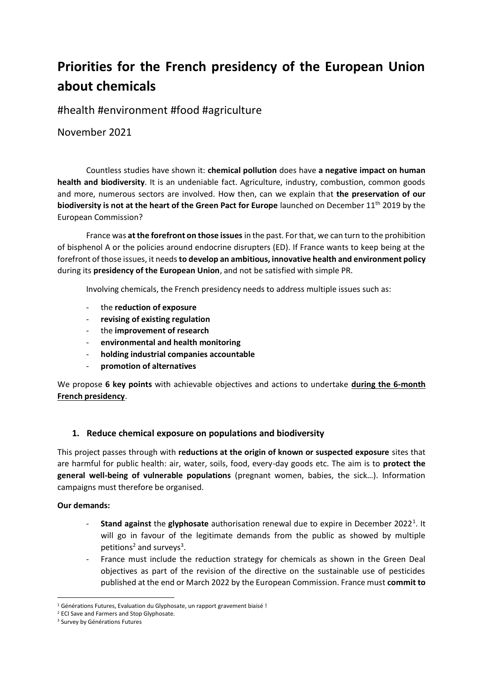# **Priorities for the French presidency of the European Union about chemicals**

#health #environment #food #agriculture

November 2021

Countless studies have shown it: **chemical pollution** does have **a negative impact on human health and biodiversity**. It is an undeniable fact. Agriculture, industry, combustion, common goods and more, numerous sectors are involved. How then, can we explain that **the preservation of our biodiversity is not at the heart of the Green Pact for Europe** launched on December 11<sup>th</sup> 2019 by the European Commission?

France was **at the forefront on those issues** in the past. For that, we can turn to the prohibition of bisphenol A or the policies around endocrine disrupters (ED). If France wants to keep being at the forefront of those issues, it needs **to develop an ambitious, innovative health and environment policy** during its **presidency of the European Union**, and not be satisfied with simple PR.

Involving chemicals, the French presidency needs to address multiple issues such as:

- the **reduction of exposure**
- **revising of existing regulation**
- the **improvement of research**
- **environmental and health monitoring**
- **holding industrial companies accountable**
- **promotion of alternatives**

We propose **6 key points** with achievable objectives and actions to undertake **during the 6-month French presidency**.

## **1. Reduce chemical exposure on populations and biodiversity**

This project passes through with **reductions at the origin of known or suspected exposure** sites that are harmful for public health: air, water, soils, food, every-day goods etc. The aim is to **protect the general well-being of vulnerable populations** (pregnant women, babies, the sick…). Information campaigns must therefore be organised.

### **Our demands:**

- **Stand against** the **glyphosate** authorisation renewal due to expire in December 2022<sup>1</sup>. It will go in favour of the legitimate demands from the public as showed by multiple petitions<sup>2</sup> and surveys<sup>3</sup>.
- France must include the reduction strategy for chemicals as shown in the Green Deal objectives as part of the revision of the directive on the sustainable use of pesticides published at the end or March 2022 by the European Commission. France must **commit to**

<sup>&</sup>lt;sup>1</sup> Générations Futures, Evaluation du Glyphosate, un rapport gravement biaisé !

<sup>&</sup>lt;sup>2</sup> ECI Save and Farmers and Stop Glyphosate.

<sup>&</sup>lt;sup>3</sup> Survey by Générations Futures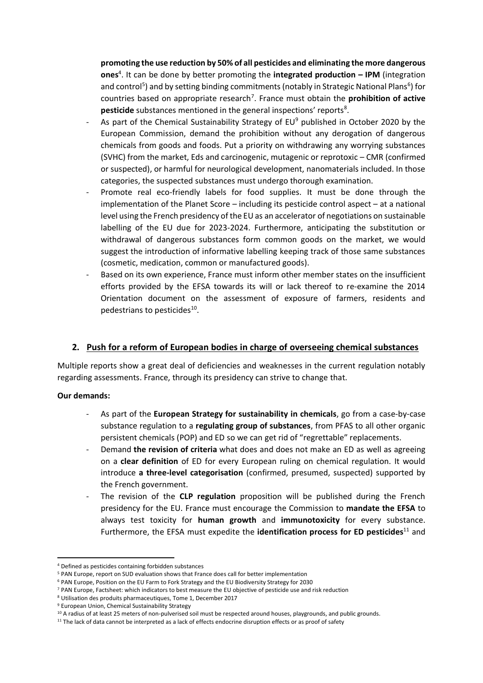**promoting the use reduction by 50% of all pesticides and eliminating the more dangerous ones**<sup>4</sup> . It can be done by better promoting the **integrated production – IPM** (integration and control<sup>5</sup>) and by setting binding commitments (notably in Strategic National Plans<sup>6</sup>) for countries based on appropriate research<sup>7</sup>. France must obtain the **prohibition of active** pesticide substances mentioned in the general inspections' reports<sup>8</sup>.

- As part of the Chemical Sustainability Strategy of  $EU^9$  published in October 2020 by the European Commission, demand the prohibition without any derogation of dangerous chemicals from goods and foods. Put a priority on withdrawing any worrying substances (SVHC) from the market, Eds and carcinogenic, mutagenic or reprotoxic – CMR (confirmed or suspected), or harmful for neurological development, nanomaterials included. In those categories, the suspected substances must undergo thorough examination.
- Promote real eco-friendly labels for food supplies. It must be done through the implementation of the Planet Score – including its pesticide control aspect – at a national level using the French presidency of the EU as an accelerator of negotiations on sustainable labelling of the EU due for 2023-2024. Furthermore, anticipating the substitution or withdrawal of dangerous substances form common goods on the market, we would suggest the introduction of informative labelling keeping track of those same substances (cosmetic, medication, common or manufactured goods).
- Based on its own experience, France must inform other member states on the insufficient efforts provided by the EFSA towards its will or lack thereof to re-examine the 2014 Orientation document on the assessment of exposure of farmers, residents and pedestrians to pesticides<sup>10</sup>.

## **2. Push for a reform of European bodies in charge of overseeing chemical substances**

Multiple reports show a great deal of deficiencies and weaknesses in the current regulation notably regarding assessments. France, through its presidency can strive to change that.

#### **Our demands:**

- As part of the **European Strategy for sustainability in chemicals**, go from a case-by-case substance regulation to a **regulating group of substances**, from PFAS to all other organic persistent chemicals (POP) and ED so we can get rid of "regrettable" replacements.
- Demand **the revision of criteria** what does and does not make an ED as well as agreeing on a **clear definition** of ED for every European ruling on chemical regulation. It would introduce **a three-level categorisation** (confirmed, presumed, suspected) supported by the French government.
- The revision of the **CLP regulation** proposition will be published during the French presidency for the EU. France must encourage the Commission to **mandate the EFSA** to always test toxicity for **human growth** and **immunotoxicity** for every substance. Furthermore, the EFSA must expedite the **identification process for ED pesticides**<sup>11</sup> and

<sup>4</sup> Defined as pesticides containing forbidden substances

<sup>5</sup> PAN Europe, report on SUD evaluation shows that France does call for better implementation

<sup>6</sup> PAN Europe, Position on the EU Farm to Fork Strategy and the EU Biodiversity Strategy for 2030

<sup>7</sup> PAN Europe, Factsheet: which indicators to best measure the EU objective of pesticide use and risk reduction

<sup>8</sup> Utilisation des produits pharmaceutiques, Tome 1, December 2017

<sup>9</sup> European Union, Chemical Sustainability Strategy

<sup>&</sup>lt;sup>10</sup> A radius of at least 25 meters of non-pulverised soil must be respected around houses, playgrounds, and public grounds.

<sup>&</sup>lt;sup>11</sup> The lack of data cannot be interpreted as a lack of effects endocrine disruption effects or as proof of safety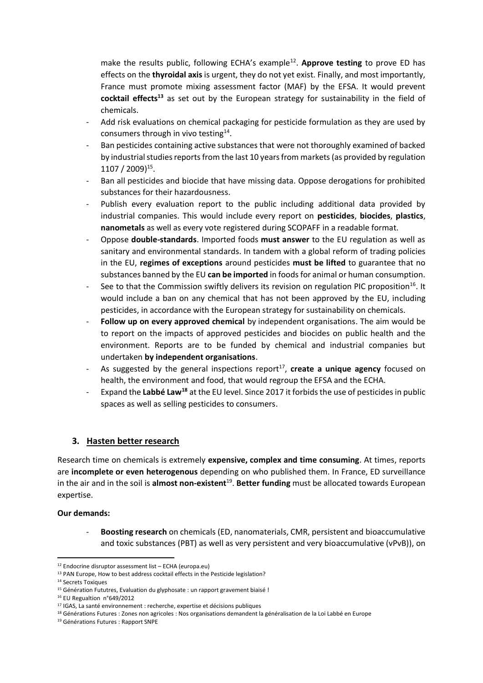make the results public, following ECHA's example<sup>12</sup>. Approve testing to prove ED has effects on the **thyroidal axis** is urgent, they do not yet exist. Finally, and most importantly, France must promote mixing assessment factor (MAF) by the EFSA. It would prevent **cocktail effects<sup>13</sup>** as set out by the European strategy for sustainability in the field of chemicals.

- Add risk evaluations on chemical packaging for pesticide formulation as they are used by consumers through in vivo testing $^{14}$ .
- Ban pesticides containing active substances that were not thoroughly examined of backed by industrial studies reports from the last 10 years from markets (as provided by regulation 1107 / 2009) 15 .
- Ban all pesticides and biocide that have missing data. Oppose derogations for prohibited substances for their hazardousness.
- Publish every evaluation report to the public including additional data provided by industrial companies. This would include every report on **pesticides**, **biocides**, **plastics**, **nanometals** as well as every vote registered during SCOPAFF in a readable format.
- Oppose **double-standards**. Imported foods **must answer** to the EU regulation as well as sanitary and environmental standards. In tandem with a global reform of trading policies in the EU, **regimes of exceptions** around pesticides **must be lifted** to guarantee that no substances banned by the EU **can be imported** in foods for animal or human consumption.
- See to that the Commission swiftly delivers its revision on regulation PIC proposition<sup>16</sup>. It would include a ban on any chemical that has not been approved by the EU, including pesticides, in accordance with the European strategy for sustainability on chemicals.
- Follow up on every approved chemical by independent organisations. The aim would be to report on the impacts of approved pesticides and biocides on public health and the environment. Reports are to be funded by chemical and industrial companies but undertaken **by independent organisations**.
- As suggested by the general inspections report<sup>17</sup>, create a unique agency focused on health, the environment and food, that would regroup the EFSA and the ECHA.
- Expand the **Labbé Law<sup>18</sup>** at the EU level. Since 2017 it forbids the use of pesticides in public spaces as well as selling pesticides to consumers.

## **3. Hasten better research**

Research time on chemicals is extremely **expensive, complex and time consuming**. At times, reports are **incomplete or even heterogenous** depending on who published them. In France, ED surveillance in the air and in the soil is **almost non-existent**<sup>19</sup> . **Better funding** must be allocated towards European expertise.

#### **Our demands:**

- **Boosting research** on chemicals (ED, nanomaterials, CMR, persistent and bioaccumulative and toxic substances (PBT) as well as very persistent and very bioaccumulative (vPvB)), on

<sup>12</sup> Endocrine disruptor assessment list – ECHA (europa.eu)

<sup>13</sup> PAN Europe, How to best address cocktail effects in the Pesticide legislation?

<sup>&</sup>lt;sup>14</sup> Secrets Toxiques

<sup>&</sup>lt;sup>15</sup> Génération Fututres, Evaluation du glyphosate : un rapport gravement biaisé !

<sup>16</sup> EU Regualtion n°649/2012

<sup>&</sup>lt;sup>17</sup> IGAS, La santé environnement : recherche, expertise et décisions publiques

<sup>&</sup>lt;sup>18</sup> Générations Futures : Zones non agricoles : Nos organisations demandent la généralisation de la Loi Labbé en Europe

<sup>19</sup> Générations Futures : Rapport SNPE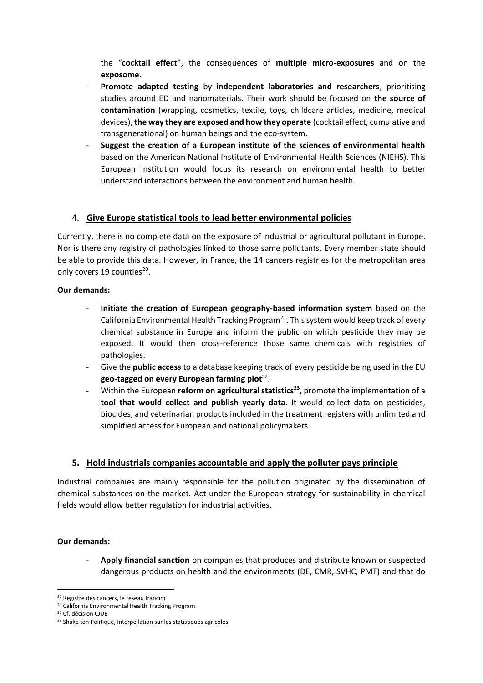the "**cocktail effect**", the consequences of **multiple micro-exposures** and on the **exposome**.

- **Promote adapted testing** by **independent laboratories and researchers**, prioritising studies around ED and nanomaterials. Their work should be focused on **the source of contamination** (wrapping, cosmetics, textile, toys, childcare articles, medicine, medical devices), **the way they are exposed and how they operate** (cocktail effect, cumulative and transgenerational) on human beings and the eco-system.
- **Suggest the creation of a European institute of the sciences of environmental health** based on the American National Institute of Environmental Health Sciences (NIEHS). This European institution would focus its research on environmental health to better understand interactions between the environment and human health.

## 4. **Give Europe statistical tools to lead better environmental policies**

Currently, there is no complete data on the exposure of industrial or agricultural pollutant in Europe. Nor is there any registry of pathologies linked to those same pollutants. Every member state should be able to provide this data. However, in France, the 14 cancers registries for the metropolitan area only covers 19 counties<sup>20</sup>.

#### **Our demands:**

- **Initiate the creation of European geography-based information system** based on the California Environmental Health Tracking Program<sup>21</sup>. This system would keep track of every chemical substance in Europe and inform the public on which pesticide they may be exposed. It would then cross-reference those same chemicals with registries of pathologies.
- Give the **public access** to a database keeping track of every pesticide being used in the EU geo-tagged on every European farming plot<sup>22</sup>.
- Within the European **reform on agricultural statistics<sup>23</sup>**, promote the implementation of a **tool that would collect and publish yearly data**. It would collect data on pesticides, biocides, and veterinarian products included in the treatment registers with unlimited and simplified access for European and national policymakers.

### **5. Hold industrials companies accountable and apply the polluter pays principle**

Industrial companies are mainly responsible for the pollution originated by the dissemination of chemical substances on the market. Act under the European strategy for sustainability in chemical fields would allow better regulation for industrial activities.

#### **Our demands:**

- **Apply financial sanction** on companies that produces and distribute known or suspected dangerous products on health and the environments (DE, CMR, SVHC, PMT) and that do

<sup>&</sup>lt;sup>20</sup> Registre des cancers, le réseau francim

<sup>&</sup>lt;sup>21</sup> California Environmental Health Tracking Program

<sup>22</sup> Cf. décision CJUE

<sup>&</sup>lt;sup>23</sup> Shake ton Politique, Interpellation sur les statistiques agricoles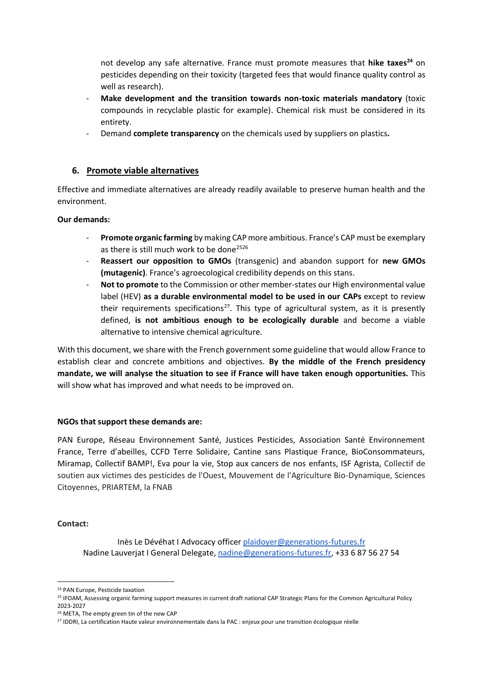not develop any safe alternative. France must promote measures that **hike taxes<sup>24</sup>** on pesticides depending on their toxicity (targeted fees that would finance quality control as well as research).

- **Make development and the transition towards non-toxic materials mandatory** (toxic compounds in recyclable plastic for example). Chemical risk must be considered in its entirety.
- Demand **complete transparency** on the chemicals used by suppliers on plastics**.**

#### **6. Promote viable alternatives**

Effective and immediate alternatives are already readily available to preserve human health and the environment.

#### **Our demands:**

- **Promote organic farming** by making CAPmore ambitious. France's CAP must be exemplary as there is still much work to be done<sup>2526</sup>
- **Reassert our opposition to GMOs** (transgenic) and abandon support for **new GMOs (mutagenic)**. France's agroecological credibility depends on this stans.
- Not to promote to the Commission or other member-states our High environmental value label (HEV) **as a durable environmental model to be used in our CAPs** except to review their requirements specifications<sup>27</sup>. This type of agricultural system, as it is presently defined, **is not ambitious enough to be ecologically durable** and become a viable alternative to intensive chemical agriculture.

With this document, we share with the French government some guideline that would allow France to establish clear and concrete ambitions and objectives. **By the middle of the French presidency mandate, we will analyse the situation to see if France will have taken enough opportunities.** This will show what has improved and what needs to be improved on.

#### **NGOs that support these demands are:**

PAN Europe, Réseau Environnement Santé, Justices Pesticides, Association Santé Environnement France, Terre d'abeilles, CCFD Terre Solidaire, Cantine sans Plastique France, BioConsommateurs, Miramap, Collectif BAMP!, Eva pour la vie, Stop aux cancers de nos enfants, ISF Agrista, Collectif de soutien aux victimes des pesticides de l'Ouest, Mouvement de l'Agriculture Bio-Dynamique, Sciences Citoyennes, PRIARTEM, la FNAB

#### **Contact:**

Inès Le Dévéhat I Advocacy officer [plaidoyer@generations-futures.fr](mailto:plaidoyer@generations-futures.fr) Nadine Lauverjat I General Delegate, [nadine@generations-futures.fr,](mailto:nadine@generations-futures.fr) +33 6 87 56 27 54

<sup>24</sup> PAN Europe, Pesticide taxation

<sup>&</sup>lt;sup>25</sup> IFOAM, Assessing organic farming support measures in current draft national CAP Strategic Plans for the Common Agricultural Policy 2023-2027

<sup>&</sup>lt;sup>26</sup> META, The empty green tin of the new CAP

<sup>&</sup>lt;sup>27</sup> IDDRI, La certification Haute valeur environnementale dans la PAC : enjeux pour une transition écologique réelle